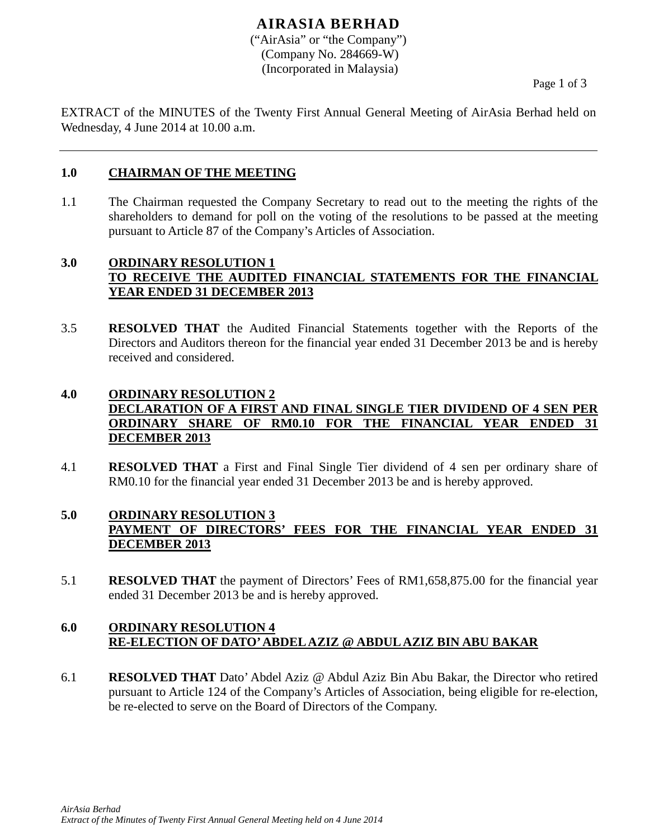# **AIRASIA BERHAD**

("AirAsia" or "the Company") (Company No. 284669-W) (Incorporated in Malaysia)

Page 1 of 3

EXTRACT of the MINUTES of the Twenty First Annual General Meeting of AirAsia Berhad held on Wednesday, 4 June 2014 at 10.00 a.m.

#### **1.0 CHAIRMAN OF THE MEETING**

1.1 The Chairman requested the Company Secretary to read out to the meeting the rights of the shareholders to demand for poll on the voting of the resolutions to be passed at the meeting pursuant to Article 87 of the Company's Articles of Association.

### **3.0 ORDINARY RESOLUTION 1 TO RECEIVE THE AUDITED FINANCIAL STATEMENTS FOR THE FINANCIAL YEAR ENDED 31 DECEMBER 2013**

3.5 **RESOLVED THAT** the Audited Financial Statements together with the Reports of the Directors and Auditors thereon for the financial year ended 31 December 2013 be and is hereby received and considered.

# **4.0 ORDINARY RESOLUTION 2 DECLARATION OF A FIRST AND FINAL SINGLE TIER DIVIDEND OF 4 SEN PER ORDINARY SHARE OF RM0.10 FOR THE FINANCIAL YEAR ENDED 31 DECEMBER 2013**

4.1 **RESOLVED THAT** a First and Final Single Tier dividend of 4 sen per ordinary share of RM0.10 for the financial year ended 31 December 2013 be and is hereby approved.

# **5.0 ORDINARY RESOLUTION 3 PAYMENT OF DIRECTORS' FEES FOR THE FINANCIAL YEAR ENDED 31 DECEMBER 2013**

5.1 **RESOLVED THAT** the payment of Directors' Fees of RM1,658,875.00 for the financial year ended 31 December 2013 be and is hereby approved.

### **6.0 ORDINARY RESOLUTION 4 RE-ELECTION OF DATO' ABDEL AZIZ @ ABDUL AZIZ BIN ABU BAKAR**

6.1 **RESOLVED THAT** Dato' Abdel Aziz @ Abdul Aziz Bin Abu Bakar, the Director who retired pursuant to Article 124 of the Company's Articles of Association, being eligible for re-election, be re-elected to serve on the Board of Directors of the Company.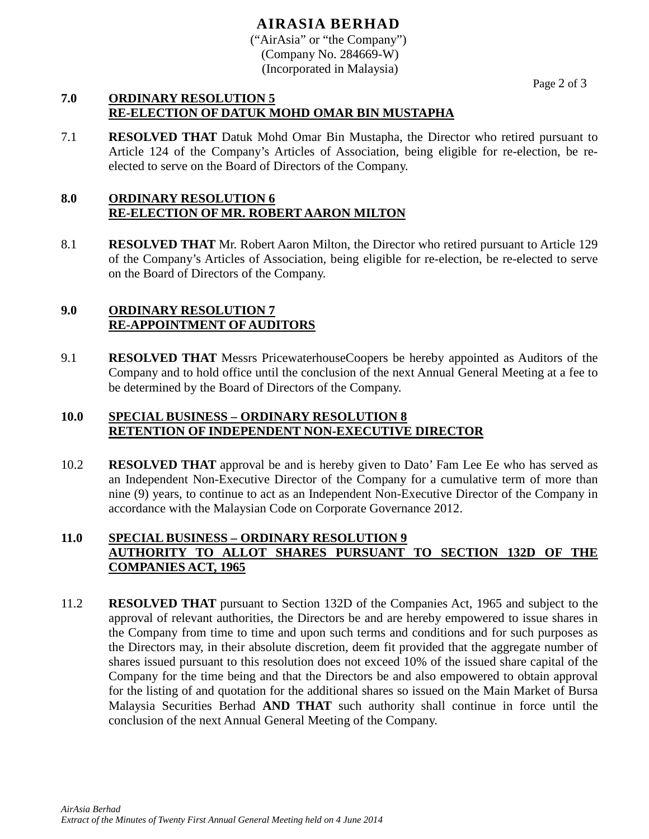# **AIRASIA BERHAD**

("AirAsia" or "the Company") (Company No. 284669-W) (Incorporated in Malaysia)

Page 2 of 3

#### **7.0 ORDINARY RESOLUTION 5 RE-ELECTION OF DATUK MOHD OMAR BIN MUSTAPHA**

7.1 **RESOLVED THAT** Datuk Mohd Omar Bin Mustapha, the Director who retired pursuant to Article 124 of the Company's Articles of Association, being eligible for re-election, be reelected to serve on the Board of Directors of the Company.

# **8.0 ORDINARY RESOLUTION 6 RE-ELECTION OF MR. ROBERT AARON MILTON**

8.1 **RESOLVED THAT** Mr. Robert Aaron Milton, the Director who retired pursuant to Article 129 of the Company's Articles of Association, being eligible for re-election, be re-elected to serve on the Board of Directors of the Company.

### **9.0 ORDINARY RESOLUTION 7 RE-APPOINTMENT OF AUDITORS**

9.1 **RESOLVED THAT** Messrs PricewaterhouseCoopers be hereby appointed as Auditors of the Company and to hold office until the conclusion of the next Annual General Meeting at a fee to be determined by the Board of Directors of the Company.

### **10.0 SPECIAL BUSINESS – ORDINARY RESOLUTION 8 RETENTION OF INDEPENDENT NON-EXECUTIVE DIRECTOR**

10.2 **RESOLVED THAT** approval be and is hereby given to Dato' Fam Lee Ee who has served as an Independent Non-Executive Director of the Company for a cumulative term of more than nine (9) years, to continue to act as an Independent Non-Executive Director of the Company in accordance with the Malaysian Code on Corporate Governance 2012.

## **11.0 SPECIAL BUSINESS – ORDINARY RESOLUTION 9 AUTHORITY TO ALLOT SHARES PURSUANT TO SECTION 132D OF THE COMPANIES ACT, 1965**

11.2 **RESOLVED THAT** pursuant to Section 132D of the Companies Act, 1965 and subject to the approval of relevant authorities, the Directors be and are hereby empowered to issue shares in the Company from time to time and upon such terms and conditions and for such purposes as the Directors may, in their absolute discretion, deem fit provided that the aggregate number of shares issued pursuant to this resolution does not exceed 10% of the issued share capital of the Company for the time being and that the Directors be and also empowered to obtain approval for the listing of and quotation for the additional shares so issued on the Main Market of Bursa Malaysia Securities Berhad **AND THAT** such authority shall continue in force until the conclusion of the next Annual General Meeting of the Company.